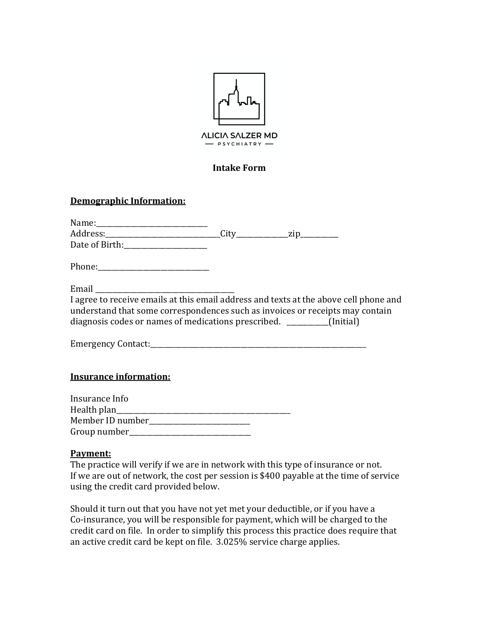

### **Intake Form**

### **Demographic Information:**

| Email expression and the set of the set of the set of the set of the set of the set of the set of the set of the set of the set of the set of the set of the set of the set of the set of the set of the set of the set of the |  |  |
|--------------------------------------------------------------------------------------------------------------------------------------------------------------------------------------------------------------------------------|--|--|
| I agree to receive emails at this email address and texts at the above cell phone and                                                                                                                                          |  |  |
| understand that some correspondences such as invoices or receipts may contain                                                                                                                                                  |  |  |
| diagnosis codes or names of medications prescribed. _________(Initial)                                                                                                                                                         |  |  |
|                                                                                                                                                                                                                                |  |  |
|                                                                                                                                                                                                                                |  |  |
|                                                                                                                                                                                                                                |  |  |
| <b>Insurance information:</b>                                                                                                                                                                                                  |  |  |
| Insurance Info                                                                                                                                                                                                                 |  |  |
|                                                                                                                                                                                                                                |  |  |
| Member ID number__________________________                                                                                                                                                                                     |  |  |

#### **Payment:**

Group number\_\_\_\_\_\_\_\_\_\_\_\_\_\_\_\_\_\_\_\_\_\_\_\_\_\_\_\_\_\_\_\_\_\_\_

The practice will verify if we are in network with this type of insurance or not. If we are out of network, the cost per session is \$400 payable at the time of service using the credit card provided below.

Should it turn out that you have not yet met your deductible, or if you have a Co-insurance, you will be responsible for payment, which will be charged to the credit card on file. In order to simplify this process this practice does require that an active credit card be kept on file. 3.025% service charge applies.